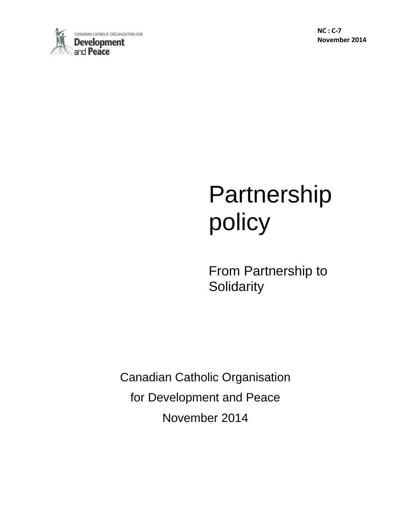

**NC : C-7 November 2014**

# Partnership policy

From Partnership to **Solidarity** 

Canadian Catholic Organisation for Development and Peace November 2014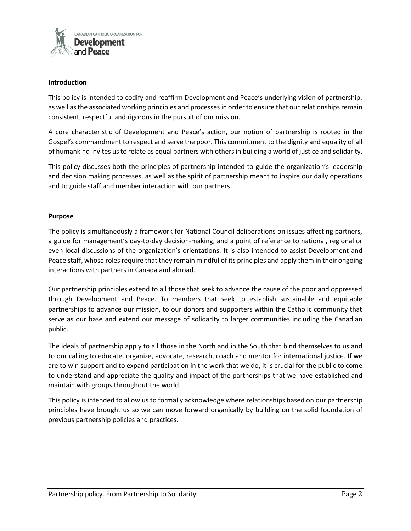

## **Introduction**

This policy is intended to codify and reaffirm Development and Peace's underlying vision of partnership, as well as the associated working principles and processes in order to ensure that our relationships remain consistent, respectful and rigorous in the pursuit of our mission.

A core characteristic of Development and Peace's action, our notion of partnership is rooted in the Gospel's commandment to respect and serve the poor. This commitment to the dignity and equality of all of humankind invites us to relate as equal partners with others in building a world of justice and solidarity.

This policy discusses both the principles of partnership intended to guide the organization's leadership and decision making processes, as well as the spirit of partnership meant to inspire our daily operations and to guide staff and member interaction with our partners.

## **Purpose**

The policy is simultaneously a framework for National Council deliberations on issues affecting partners, a guide for management's day-to-day decision-making, and a point of reference to national, regional or even local discussions of the organization's orientations. It is also intended to assist Development and Peace staff, whose roles require that they remain mindful of its principles and apply them in their ongoing interactions with partners in Canada and abroad.

Our partnership principles extend to all those that seek to advance the cause of the poor and oppressed through Development and Peace. To members that seek to establish sustainable and equitable partnerships to advance our mission, to our donors and supporters within the Catholic community that serve as our base and extend our message of solidarity to larger communities including the Canadian public.

The ideals of partnership apply to all those in the North and in the South that bind themselves to us and to our calling to educate, organize, advocate, research, coach and mentor for international justice. If we are to win support and to expand participation in the work that we do, it is crucial for the public to come to understand and appreciate the quality and impact of the partnerships that we have established and maintain with groups throughout the world.

This policy is intended to allow us to formally acknowledge where relationships based on our partnership principles have brought us so we can move forward organically by building on the solid foundation of previous partnership policies and practices.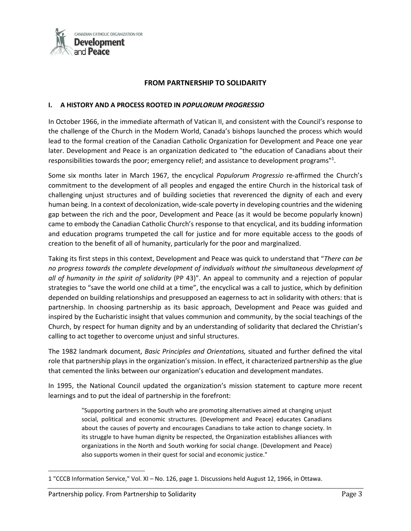

# **FROM PARTNERSHIP TO SOLIDARITY**

## **I. A HISTORY AND A PROCESS ROOTED IN** *POPULORUM PROGRESSIO*

In October 1966, in the immediate aftermath of Vatican II, and consistent with the Council's response to the challenge of the Church in the Modern World, Canada's bishops launched the process which would lead to the formal creation of the Canadian Catholic Organization for Development and Peace one year later. Development and Peace is an organization dedicated to "the education of Canadians about their responsibilities towards the poor; emergency relief; and assistance to development programs"<sup>1</sup>.

Some six months later in March 1967, the encyclical *Populorum Progressio* re-affirmed the Church's commitment to the development of all peoples and engaged the entire Church in the historical task of challenging unjust structures and of building societies that reverenced the dignity of each and every human being. In a context of decolonization, wide-scale poverty in developing countries and the widening gap between the rich and the poor, Development and Peace (as it would be become popularly known) came to embody the Canadian Catholic Church's response to that encyclical, and its budding information and education programs trumpeted the call for justice and for more equitable access to the goods of creation to the benefit of all of humanity, particularly for the poor and marginalized.

Taking its first steps in this context, Development and Peace was quick to understand that "*There can be no progress towards the complete development of individuals without the simultaneous development of all of humanity in the spirit of solidarity* (PP 43)". An appeal to community and a rejection of popular strategies to "save the world one child at a time", the encyclical was a call to justice, which by definition depended on building relationships and presupposed an eagerness to act in solidarity with others: that is partnership. In choosing partnership as its basic approach, Development and Peace was guided and inspired by the Eucharistic insight that values communion and community, by the social teachings of the Church, by respect for human dignity and by an understanding of solidarity that declared the Christian's calling to act together to overcome unjust and sinful structures.

The 1982 landmark document, *Basic Principles and Orientations,* situated and further defined the vital role that partnership plays in the organization's mission. In effect, it characterized partnership as the glue that cemented the links between our organization's education and development mandates.

In 1995, the National Council updated the organization's mission statement to capture more recent learnings and to put the ideal of partnership in the forefront:

> "Supporting partners in the South who are promoting alternatives aimed at changing unjust social, political and economic structures. (Development and Peace) educates Canadians about the causes of poverty and encourages Canadians to take action to change society. In its struggle to have human dignity be respected, the Organization establishes alliances with organizations in the North and South working for social change. (Development and Peace) also supports women in their quest for social and economic justice."

<sup>1</sup> "CCCB Information Service," Vol. XI – No. 126, page 1. Discussions held August 12, 1966, in Ottawa.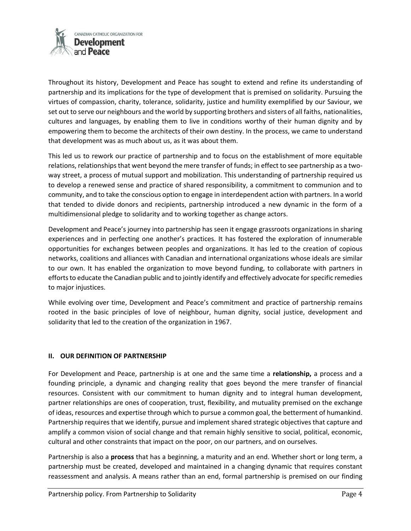

Throughout its history, Development and Peace has sought to extend and refine its understanding of partnership and its implications for the type of development that is premised on solidarity. Pursuing the virtues of compassion, charity, tolerance, solidarity, justice and humility exemplified by our Saviour, we set out to serve our neighbours and the world by supporting brothers and sisters of all faiths, nationalities, cultures and languages, by enabling them to live in conditions worthy of their human dignity and by empowering them to become the architects of their own destiny. In the process, we came to understand that development was as much about us, as it was about them.

This led us to rework our practice of partnership and to focus on the establishment of more equitable relations, relationships that went beyond the mere transfer of funds; in effect to see partnership as a twoway street, a process of mutual support and mobilization. This understanding of partnership required us to develop a renewed sense and practice of shared responsibility, a commitment to communion and to community, and to take the conscious option to engage in interdependent action with partners. In a world that tended to divide donors and recipients, partnership introduced a new dynamic in the form of a multidimensional pledge to solidarity and to working together as change actors.

Development and Peace's journey into partnership has seen it engage grassroots organizations in sharing experiences and in perfecting one another's practices. It has fostered the exploration of innumerable opportunities for exchanges between peoples and organizations. It has led to the creation of copious networks, coalitions and alliances with Canadian and international organizations whose ideals are similar to our own. It has enabled the organization to move beyond funding, to collaborate with partners in efforts to educate the Canadian public and to jointly identify and effectively advocate for specific remedies to major injustices.

While evolving over time, Development and Peace's commitment and practice of partnership remains rooted in the basic principles of love of neighbour, human dignity, social justice, development and solidarity that led to the creation of the organization in 1967.

# **II. OUR DEFINITION OF PARTNERSHIP**

For Development and Peace, partnership is at one and the same time a **relationship,** a process and a founding principle, a dynamic and changing reality that goes beyond the mere transfer of financial resources. Consistent with our commitment to human dignity and to integral human development, partner relationships are ones of cooperation, trust, flexibility, and mutuality premised on the exchange of ideas, resources and expertise through which to pursue a common goal, the betterment of humankind. Partnership requires that we identify, pursue and implement shared strategic objectives that capture and amplify a common vision of social change and that remain highly sensitive to social, political, economic, cultural and other constraints that impact on the poor, on our partners, and on ourselves.

Partnership is also a **process** that has a beginning, a maturity and an end. Whether short or long term, a partnership must be created, developed and maintained in a changing dynamic that requires constant reassessment and analysis. A means rather than an end, formal partnership is premised on our finding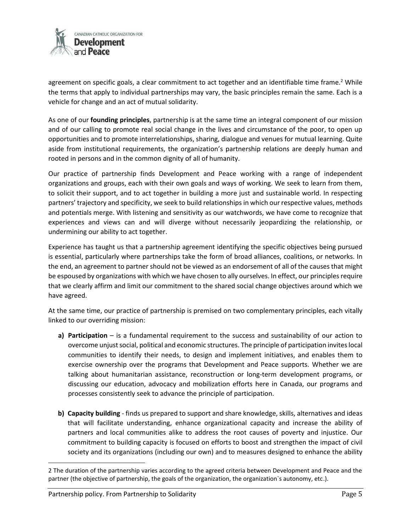

agreement on specific goals, a clear commitment to act together and an identifiable time frame.<sup>2</sup> While the terms that apply to individual partnerships may vary, the basic principles remain the same. Each is a vehicle for change and an act of mutual solidarity.

As one of our **founding principles**, partnership is at the same time an integral component of our mission and of our calling to promote real social change in the lives and circumstance of the poor, to open up opportunities and to promote interrelationships, sharing, dialogue and venues for mutual learning. Quite aside from institutional requirements, the organization's partnership relations are deeply human and rooted in persons and in the common dignity of all of humanity.

Our practice of partnership finds Development and Peace working with a range of independent organizations and groups, each with their own goals and ways of working. We seek to learn from them, to solicit their support, and to act together in building a more just and sustainable world. In respecting partners' trajectory and specificity, we seek to build relationships in which our respective values, methods and potentials merge. With listening and sensitivity as our watchwords, we have come to recognize that experiences and views can and will diverge without necessarily jeopardizing the relationship, or undermining our ability to act together.

Experience has taught us that a partnership agreement identifying the specific objectives being pursued is essential, particularly where partnerships take the form of broad alliances, coalitions, or networks. In the end, an agreement to partner should not be viewed as an endorsement of all of the causes that might be espoused by organizations with which we have chosen to ally ourselves. In effect, our principles require that we clearly affirm and limit our commitment to the shared social change objectives around which we have agreed.

At the same time, our practice of partnership is premised on two complementary principles, each vitally linked to our overriding mission:

- **a) Participation** is a fundamental requirement to the success and sustainability of our action to overcome unjust social, political and economic structures. The principle of participation invites local communities to identify their needs, to design and implement initiatives, and enables them to exercise ownership over the programs that Development and Peace supports. Whether we are talking about humanitarian assistance, reconstruction or long-term development programs, or discussing our education, advocacy and mobilization efforts here in Canada, our programs and processes consistently seek to advance the principle of participation.
- **b) Capacity building** finds us prepared to support and share knowledge, skills, alternatives and ideas that will facilitate understanding, enhance organizational capacity and increase the ability of partners and local communities alike to address the root causes of poverty and injustice. Our commitment to building capacity is focused on efforts to boost and strengthen the impact of civil society and its organizations (including our own) and to measures designed to enhance the ability

l

<sup>2</sup> The duration of the partnership varies according to the agreed criteria between Development and Peace and the partner (the objective of partnership, the goals of the organization, the organization`s autonomy, etc.).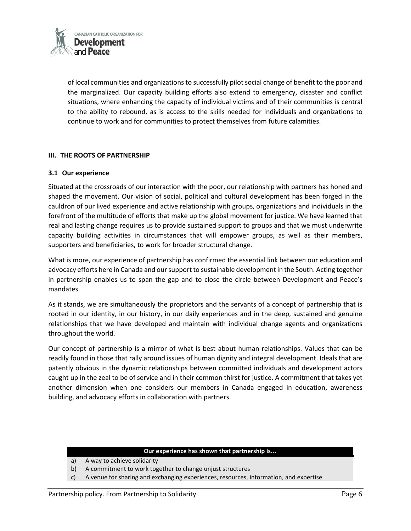

of local communities and organizations to successfully pilot social change of benefit to the poor and the marginalized. Our capacity building efforts also extend to emergency, disaster and conflict situations, where enhancing the capacity of individual victims and of their communities is central to the ability to rebound, as is access to the skills needed for individuals and organizations to continue to work and for communities to protect themselves from future calamities.

# **III. THE ROOTS OF PARTNERSHIP**

## **3.1 Our experience**

Situated at the crossroads of our interaction with the poor, our relationship with partners has honed and shaped the movement. Our vision of social, political and cultural development has been forged in the cauldron of our lived experience and active relationship with groups, organizations and individuals in the forefront of the multitude of efforts that make up the global movement for justice. We have learned that real and lasting change requires us to provide sustained support to groups and that we must underwrite capacity building activities in circumstances that will empower groups, as well as their members, supporters and beneficiaries, to work for broader structural change.

What is more, our experience of partnership has confirmed the essential link between our education and advocacy efforts here in Canada and our support to sustainable development in the South. Acting together in partnership enables us to span the gap and to close the circle between Development and Peace's mandates.

As it stands, we are simultaneously the proprietors and the servants of a concept of partnership that is rooted in our identity, in our history, in our daily experiences and in the deep, sustained and genuine relationships that we have developed and maintain with individual change agents and organizations throughout the world.

Our concept of partnership is a mirror of what is best about human relationships. Values that can be readily found in those that rally around issues of human dignity and integral development. Ideals that are patently obvious in the dynamic relationships between committed individuals and development actors caught up in the zeal to be of service and in their common thirst for justice. A commitment that takes yet another dimension when one considers our members in Canada engaged in education, awareness building, and advocacy efforts in collaboration with partners.

## **Our experience has shown that partnership is...**

- a) A way to achieve solidarity
- b) A commitment to work together to change unjust structures
- c) A venue for sharing and exchanging experiences, resources, information, and expertise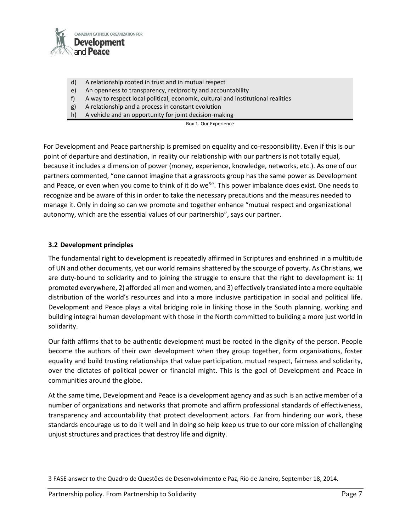

- d) A relationship rooted in trust and in mutual respect
- e) An openness to transparency, reciprocity and accountability
- f) A way to respect local political, economic, cultural and institutional realities
- g) A relationship and a process in constant evolution
- h) A vehicle and an opportunity for joint decision-making

Box 1. Our Experience

For Development and Peace partnership is premised on equality and co-responsibility. Even if this is our point of departure and destination, in reality our relationship with our partners is not totally equal, because it includes a dimension of power (money, experience, knowledge, networks, etc.). As one of our partners commented, "one cannot imagine that a grassroots group has the same power as Development and Peace, or even when you come to think of it do we<sup>3</sup>". This power imbalance does exist. One needs to recognize and be aware of this in order to take the necessary precautions and the measures needed to manage it. Only in doing so can we promote and together enhance "mutual respect and organizational autonomy, which are the essential values of our partnership", says our partner.

## **3.2 Development principles**

The fundamental right to development is repeatedly affirmed in Scriptures and enshrined in a multitude of UN and other documents, yet our world remains shattered by the scourge of poverty. As Christians, we are duty-bound to solidarity and to joining the struggle to ensure that the right to development is: 1) promoted everywhere, 2) afforded all men and women, and 3) effectively translated into a more equitable distribution of the world's resources and into a more inclusive participation in social and political life. Development and Peace plays a vital bridging role in linking those in the South planning, working and building integral human development with those in the North committed to building a more just world in solidarity.

Our faith affirms that to be authentic development must be rooted in the dignity of the person. People become the authors of their own development when they group together, form organizations, foster equality and build trusting relationships that value participation, mutual respect, fairness and solidarity, over the dictates of political power or financial might. This is the goal of Development and Peace in communities around the globe.

At the same time, Development and Peace is a development agency and as such is an active member of a number of organizations and networks that promote and affirm professional standards of effectiveness, transparency and accountability that protect development actors. Far from hindering our work, these standards encourage us to do it well and in doing so help keep us true to our core mission of challenging unjust structures and practices that destroy life and dignity.

<sup>3</sup> FASE answer to the Quadro de Questões de Desenvolvimento e Paz, Rio de Janeiro, September 18, 2014.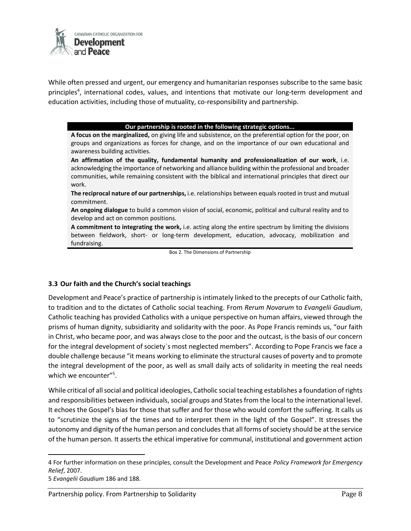

While often pressed and urgent, our emergency and humanitarian responses subscribe to the same basic principles<sup>4</sup>, international codes, values, and intentions that motivate our long-term development and education activities, including those of mutuality, co-responsibility and partnership.

## **Our partnership is rooted in the following strategic options...**

**A focus on the marginalized,** on giving life and subsistence, on the preferential option for the poor, on groups and organizations as forces for change, and on the importance of our own educational and awareness building activities.

**An affirmation of the quality, fundamental humanity and professionalization of our work**, i.e. acknowledging the importance of networking and alliance building within the professional and broader communities, while remaining consistent with the biblical and international principles that direct our work.

**The reciprocal nature of our partnerships,** i.e. relationships between equals rooted in trust and mutual commitment.

**An ongoing dialogue** to build a common vision of social, economic, political and cultural reality and to develop and act on common positions.

**A commitment to integrating the work,** i.e. acting along the entire spectrum by limiting the divisions between fieldwork, short- or long-term development, education, advocacy, mobilization and fundraising.

Box 2. The Dimensions of Partnership

## **3.3 Our faith and the Church's social teachings**

Development and Peace's practice of partnership is intimately linked to the precepts of our Catholic faith, to tradition and to the dictates of Catholic social teaching. From *Rerum Novarum* to *Evangelii Gaudium*, Catholic teaching has provided Catholics with a unique perspective on human affairs, viewed through the prisms of human dignity, subsidiarity and solidarity with the poor. As Pope Francis reminds us, "our faith in Christ, who became poor, and was always close to the poor and the outcast, is the basis of our concern for the integral development of society`s most neglected members". According to Pope Francis we face a double challenge because "it means working to eliminate the structural causes of poverty and to promote the integral development of the poor, as well as small daily acts of solidarity in meeting the real needs which we encounter"<sup>5</sup> .

While critical of all social and political ideologies, Catholic social teaching establishes a foundation of rights and responsibilities between individuals, social groups and States from the local to the international level. It echoes the Gospel's bias for those that suffer and for those who would comfort the suffering. It calls us to "scrutinize the signs of the times and to interpret them in the light of the Gospel". It stresses the autonomy and dignity of the human person and concludes that all forms of society should be at the service of the human person. It asserts the ethical imperative for communal, institutional and government action

5 *Evangelii Gaudium* 186 and 188.

<sup>4</sup> For further information on these principles, consult the Development and Peace *Policy Framework for Emergency Relief*, 2007.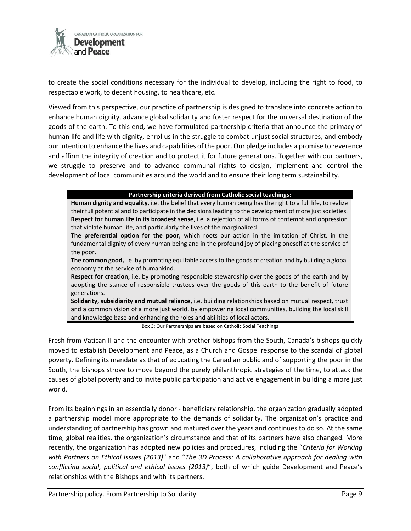

to create the social conditions necessary for the individual to develop, including the right to food, to respectable work, to decent housing, to healthcare, etc.

Viewed from this perspective, our practice of partnership is designed to translate into concrete action to enhance human dignity, advance global solidarity and foster respect for the universal destination of the goods of the earth. To this end, we have formulated partnership criteria that announce the primacy of human life and life with dignity, enrol us in the struggle to combat unjust social structures, and embody our intention to enhance the lives and capabilities of the poor. Our pledge includes a promise to reverence and affirm the integrity of creation and to protect it for future generations. Together with our partners, we struggle to preserve and to advance communal rights to design, implement and control the development of local communities around the world and to ensure their long term sustainability.

## **Partnership criteria derived from Catholic social teachings:**

**Human dignity and equality**, i.e. the belief that every human being has the right to a full life, to realize their full potential and to participate in the decisions leading to the development of more just societies. **Respect for human life in its broadest sense**, i.e. a rejection of all forms of contempt and oppression that violate human life, and particularly the lives of the marginalized.

**The preferential option for the poor,** which roots our action in the imitation of Christ, in the fundamental dignity of every human being and in the profound joy of placing oneself at the service of the poor.

**The common good,** i.e. by promoting equitable access to the goods of creation and by building a global economy at the service of humankind.

**Respect for creation,** i.e. by promoting responsible stewardship over the goods of the earth and by adopting the stance of responsible trustees over the goods of this earth to the benefit of future generations.

**Solidarity, subsidiarity and mutual reliance,** i.e. building relationships based on mutual respect, trust and a common vision of a more just world, by empowering local communities, building the local skill and knowledge base and enhancing the roles and abilities of local actors.

Box 3: Our Partnerships are based on Catholic Social Teachings

Fresh from Vatican II and the encounter with brother bishops from the South, Canada's bishops quickly moved to establish Development and Peace, as a Church and Gospel response to the scandal of global poverty. Defining its mandate as that of educating the Canadian public and of supporting the poor in the South, the bishops strove to move beyond the purely philanthropic strategies of the time, to attack the causes of global poverty and to invite public participation and active engagement in building a more just world.

From its beginnings in an essentially donor - beneficiary relationship, the organization gradually adopted a partnership model more appropriate to the demands of solidarity. The organization's practice and understanding of partnership has grown and matured over the years and continues to do so. At the same time, global realities, the organization's circumstance and that of its partners have also changed. More recently, the organization has adopted new policies and procedures, including the "*Criteria for Working with Partners on Ethical Issues (2013)*" and "*The 3D Process: A collaborative approach for dealing with conflicting social, political and ethical issues (2013)*", both of which guide Development and Peace's relationships with the Bishops and with its partners.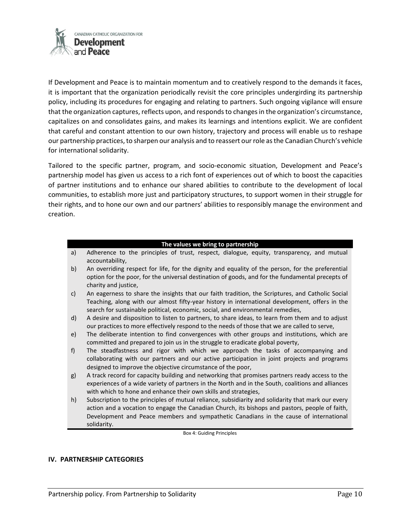

If Development and Peace is to maintain momentum and to creatively respond to the demands it faces, it is important that the organization periodically revisit the core principles undergirding its partnership policy, including its procedures for engaging and relating to partners. Such ongoing vigilance will ensure that the organization captures, reflects upon, and responds to changes in the organization's circumstance, capitalizes on and consolidates gains, and makes its learnings and intentions explicit. We are confident that careful and constant attention to our own history, trajectory and process will enable us to reshape our partnership practices, to sharpen our analysis and to reassert our role as the Canadian Church's vehicle for international solidarity.

Tailored to the specific partner, program, and socio-economic situation, Development and Peace's partnership model has given us access to a rich font of experiences out of which to boost the capacities of partner institutions and to enhance our shared abilities to contribute to the development of local communities, to establish more just and participatory structures, to support women in their struggle for their rights, and to hone our own and our partners' abilities to responsibly manage the environment and creation.

#### **The values we bring to partnership**

- a) Adherence to the principles of trust, respect, dialogue, equity, transparency, and mutual accountability,
- b) An overriding respect for life, for the dignity and equality of the person, for the preferential option for the poor, for the universal destination of goods, and for the fundamental precepts of charity and justice,
- c) An eagerness to share the insights that our faith tradition, the Scriptures, and Catholic Social Teaching, along with our almost fifty-year history in international development, offers in the search for sustainable political, economic, social, and environmental remedies,
- d) A desire and disposition to listen to partners, to share ideas, to learn from them and to adjust our practices to more effectively respond to the needs of those that we are called to serve,
- e) The deliberate intention to find convergences with other groups and institutions, which are committed and prepared to join us in the struggle to eradicate global poverty,
- f) The steadfastness and rigor with which we approach the tasks of accompanying and collaborating with our partners and our active participation in joint projects and programs designed to improve the objective circumstance of the poor,
- g) A track record for capacity building and networking that promises partners ready access to the experiences of a wide variety of partners in the North and in the South, coalitions and alliances with which to hone and enhance their own skills and strategies,
- h) Subscription to the principles of mutual reliance, subsidiarity and solidarity that mark our every action and a vocation to engage the Canadian Church, its bishops and pastors, people of faith, Development and Peace members and sympathetic Canadians in the cause of international solidarity.

Box 4: Guiding Principles

## **IV. PARTNERSHIP CATEGORIES**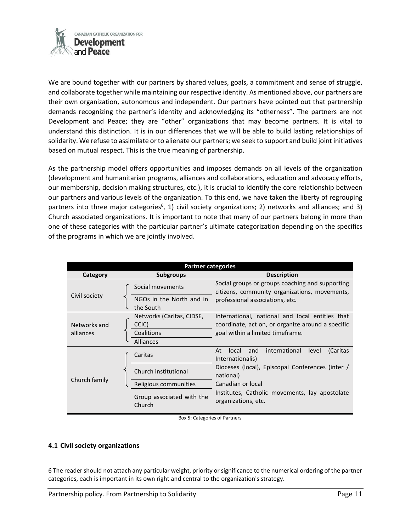

We are bound together with our partners by shared values, goals, a commitment and sense of struggle, and collaborate together while maintaining our respective identity. As mentioned above, our partners are their own organization, autonomous and independent. Our partners have pointed out that partnership demands recognizing the partner's identity and acknowledging its "otherness". The partners are not Development and Peace; they are "other" organizations that may become partners. It is vital to understand this distinction. It is in our differences that we will be able to build lasting relationships of solidarity. We refuse to assimilate or to alienate our partners; we seek to support and build joint initiatives based on mutual respect. This is the true meaning of partnership.

As the partnership model offers opportunities and imposes demands on all levels of the organization (development and humanitarian programs, alliances and collaborations, education and advocacy efforts, our membership, decision making structures, etc.), it is crucial to identify the core relationship between our partners and various levels of the organization. To this end, we have taken the liberty of regrouping partners into three major categories<sup>6</sup>, 1) civil society organizations; 2) networks and alliances; and 3) Church associated organizations. It is important to note that many of our partners belong in more than one of these categories with the particular partner's ultimate categorization depending on the specifics of the programs in which we are jointly involved.

| <b>Partner categories</b> |                                       |                                                                                                                                     |
|---------------------------|---------------------------------------|-------------------------------------------------------------------------------------------------------------------------------------|
| Category                  | <b>Subgroups</b>                      | <b>Description</b>                                                                                                                  |
| Civil society             | Social movements                      | Social groups or groups coaching and supporting<br>citizens, community organizations, movements,<br>professional associations, etc. |
|                           | NGOs in the North and in<br>the South |                                                                                                                                     |
| Networks and<br>alliances | Networks (Caritas, CIDSE,<br>CCIC)    | International, national and local entities that<br>coordinate, act on, or organize around a specific                                |
|                           | Coalitions<br>Alliances               | goal within a limited timeframe.                                                                                                    |
|                           |                                       |                                                                                                                                     |
| Church family             | Caritas                               | international<br>At<br>and<br>(Caritas<br>local<br>level<br>Internationalis)                                                        |
|                           | Church institutional                  | Dioceses (local), Episcopal Conferences (inter /<br>national)                                                                       |
|                           | Religious communities                 | Canadian or local                                                                                                                   |
|                           | Group associated with the<br>Church   | Institutes, Catholic movements, lay apostolate<br>organizations, etc.                                                               |

Box 5: Categories of Partners

## **4.1 Civil society organizations**

l

<sup>6</sup> The reader should not attach any particular weight, priority or significance to the numerical ordering of the partner categories, each is important in its own right and central to the organization's strategy.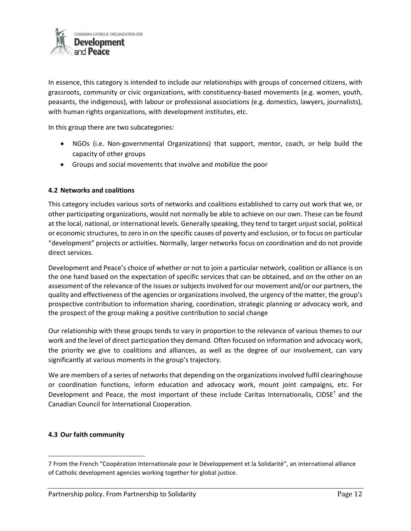

In essence, this category is intended to include our relationships with groups of concerned citizens, with grassroots, community or civic organizations, with constituency-based movements (e.g. women, youth, peasants, the indigenous), with labour or professional associations (e.g. domestics, lawyers, journalists), with human rights organizations, with development institutes, etc.

In this group there are two subcategories:

- NGOs (i.e. Non-governmental Organizations) that support, mentor, coach, or help build the capacity of other groups
- Groups and social movements that involve and mobilize the poor

# **4.2 Networks and coalitions**

This category includes various sorts of networks and coalitions established to carry out work that we, or other participating organizations, would not normally be able to achieve on our own. These can be found at the local, national, or international levels. Generally speaking, they tend to target unjust social, political or economic structures, to zero in on the specific causes of poverty and exclusion, or to focus on particular "development" projects or activities. Normally, larger networks focus on coordination and do not provide direct services.

Development and Peace's choice of whether or not to join a particular network, coalition or alliance is on the one hand based on the expectation of specific services that can be obtained, and on the other on an assessment of the relevance of the issues or subjects involved for our movement and/or our partners, the quality and effectiveness of the agencies or organizations involved, the urgency of the matter, the group's prospective contribution to information sharing, coordination, strategic planning or advocacy work, and the prospect of the group making a positive contribution to social change

Our relationship with these groups tends to vary in proportion to the relevance of various themes to our work and the level of direct participation they demand. Often focused on information and advocacy work, the priority we give to coalitions and alliances, as well as the degree of our involvement, can vary significantly at various moments in the group's trajectory.

We are members of a series of networks that depending on the organizations involved fulfil clearinghouse or coordination functions, inform education and advocacy work, mount joint campaigns, etc. For Development and Peace, the most important of these include Caritas Internationalis, CIDSE<sup>7</sup> and the Canadian Council for International Cooperation.

## **4.3 Our faith community**

<sup>7</sup> From the French "Coopération Internationale pour le Développement et la Solidarité", an international alliance of Catholic development agencies working together for global justice.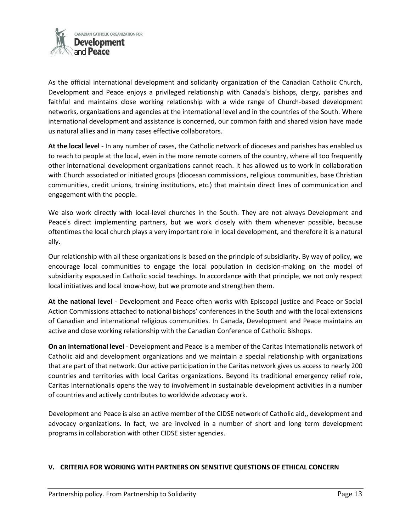

As the official international development and solidarity organization of the Canadian Catholic Church, Development and Peace enjoys a privileged relationship with Canada's bishops, clergy, parishes and faithful and maintains close working relationship with a wide range of Church-based development networks, organizations and agencies at the international level and in the countries of the South. Where international development and assistance is concerned, our common faith and shared vision have made us natural allies and in many cases effective collaborators.

**At the local level** - In any number of cases, the Catholic network of dioceses and parishes has enabled us to reach to people at the local, even in the more remote corners of the country, where all too frequently other international development organizations cannot reach. It has allowed us to work in collaboration with Church associated or initiated groups (diocesan commissions, religious communities, base Christian communities, credit unions, training institutions, etc.) that maintain direct lines of communication and engagement with the people.

We also work directly with local-level churches in the South. They are not always Development and Peace's direct implementing partners, but we work closely with them whenever possible, because oftentimes the local church plays a very important role in local development, and therefore it is a natural ally.

Our relationship with all these organizations is based on the principle of subsidiarity. By way of policy, we encourage local communities to engage the local population in decision-making on the model of subsidiarity espoused in Catholic social teachings. In accordance with that principle, we not only respect local initiatives and local know-how, but we promote and strengthen them.

**At the national level** - Development and Peace often works with Episcopal justice and Peace or Social Action Commissions attached to national bishops' conferences in the South and with the local extensions of Canadian and international religious communities. In Canada, Development and Peace maintains an active and close working relationship with the Canadian Conference of Catholic Bishops.

**On an international level** - Development and Peace is a member of the Caritas Internationalis network of Catholic aid and development organizations and we maintain a special relationship with organizations that are part of that network. Our active participation in the Caritas network gives us access to nearly 200 countries and territories with local Caritas organizations. Beyond its traditional emergency relief role, Caritas Internationalis opens the way to involvement in sustainable development activities in a number of countries and actively contributes to worldwide advocacy work.

Development and Peace is also an active member of the CIDSE network of Catholic aid,, development and advocacy organizations. In fact, we are involved in a number of short and long term development programs in collaboration with other CIDSE sister agencies.

## **V. CRITERIA FOR WORKING WITH PARTNERS ON SENSITIVE QUESTIONS OF ETHICAL CONCERN**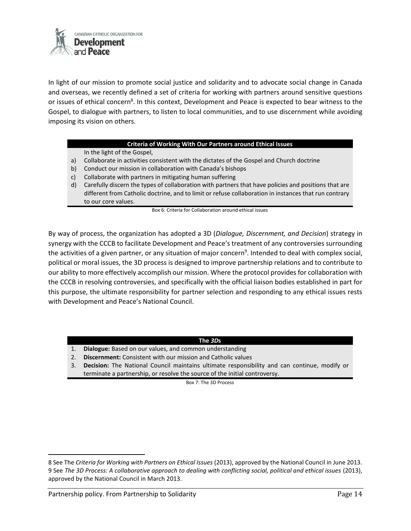

In light of our mission to promote social justice and solidarity and to advocate social change in Canada and overseas, we recently defined a set of criteria for working with partners around sensitive questions or issues of ethical concern<sup>8</sup>. In this context, Development and Peace is expected to bear witness to the Gospel, to dialogue with partners, to listen to local communities, and to use discernment while avoiding imposing its vision on others.

## **Criteria of Working With Our Partners around Ethical Issues**

In the light of the Gospel,

- a) Collaborate in activities consistent with the dictates of the Gospel and Church doctrine
- b) Conduct our mission in collaboration with Canada's bishops
- c) Collaborate with partners in mitigating human suffering
- d) Carefully discern the types of collaboration with partners that have policies and positions that are different from Catholic doctrine, and to limit or refuse collaboration in instances that run contrary to our core values.

Box 6: Criteria for Collaboration around ethical issues

By way of process, the organization has adopted a 3D (*Dialogue, Discernment, and Decision*) strategy in synergy with the CCCB to facilitate Development and Peace's treatment of any controversies surrounding the activities of a given partner, or any situation of major concern<sup>9</sup>. Intended to deal with complex social, political or moral issues, the 3D process is designed to improve partnership relations and to contribute to our ability to more effectively accomplish our mission. Where the protocol provides for collaboration with the CCCB in resolving controversies, and specifically with the official liaison bodies established in part for this purpose, the ultimate responsibility for partner selection and responding to any ethical issues rests with Development and Peace's National Council.

## **The** *3D***s**

- 1. **Dialogue:** Based on our values, and common understanding
- 2. **Discernment:** Consistent with our mission and Catholic values
- 3. **Decision:** The National Council maintains ultimate responsibility and can continue, modify or terminate a partnership, or resolve the source of the initial controversy.

Box 7: The 3D Process

<sup>8</sup> See The *Criteria for Working with Partners on Ethical Issues* (2013), approved by the National Council in June 2013. 9 See *The 3D Process: A collaborative approach to dealing with conflicting social, political and ethical issues* (2013), approved by the National Council in March 2013.